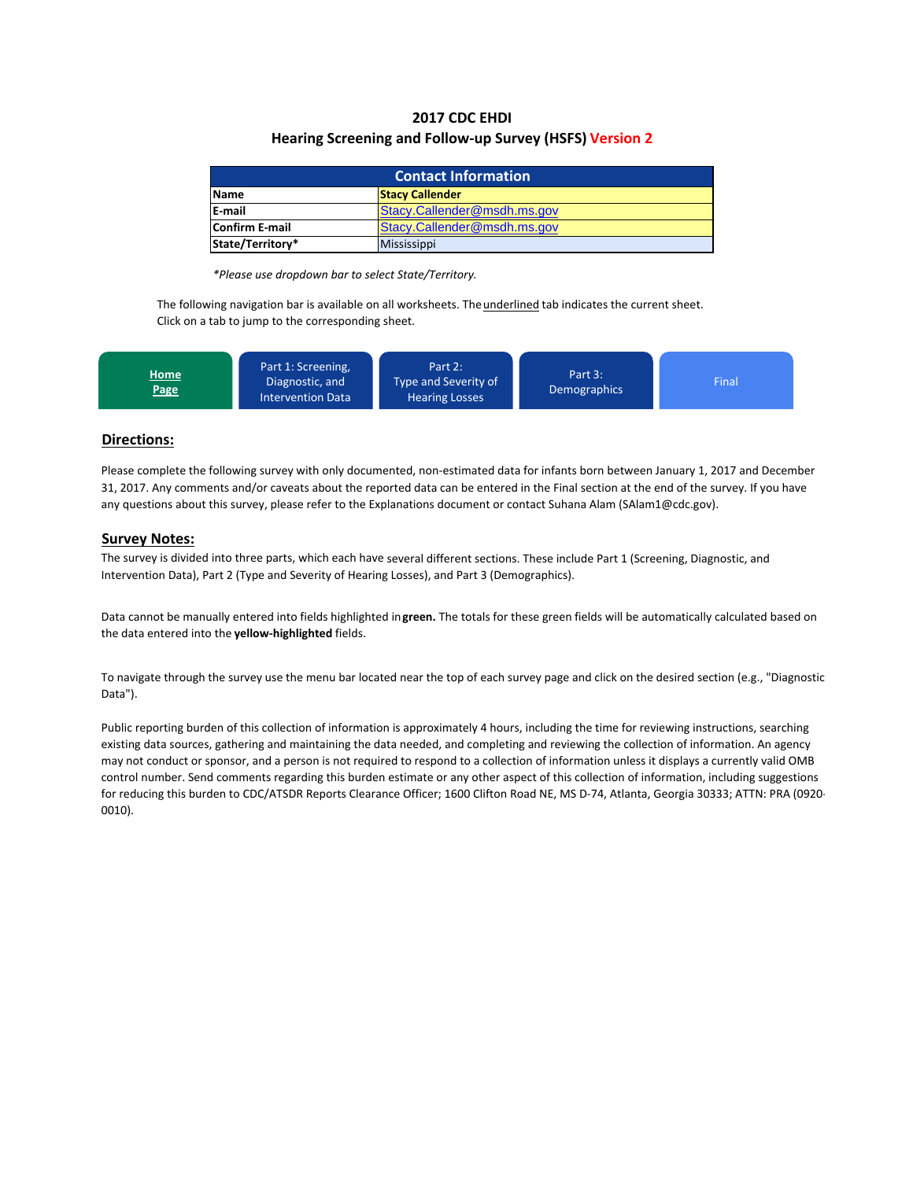## **2017 CDC EHDI Hearing Screening and Follow‐up Survey (HSFS) Version 2**

| <b>Contact Information</b>                    |                    |  |  |  |
|-----------------------------------------------|--------------------|--|--|--|
| <b>Stacy Callender</b><br><b>Name</b>         |                    |  |  |  |
| <b>IE-mail</b><br>Stacy.Callender@msdh.ms.gov |                    |  |  |  |
| Stacy.Callender@msdh.ms.gov<br>Confirm E-mail |                    |  |  |  |
| State/Territory*                              | <b>Mississippi</b> |  |  |  |

*\*Please use dropdown bar to select State/Territory.*

The following navigation bar is available on all worksheets. The *underlined* tab indicates the current sheet. Click on a tab to jump to the corresponding sheet.



## **Directions:**

Please complete the following survey with only documented, non‐estimated data for infants born between January 1, 2017 and December 31, 2017. Any comments and/or caveats about the reported data can be entered in the Final section at the end of the survey. If you have any questions about this survey, please refer to the Explanations document or contact Suhana Alam (SAlam1@cdc.gov).

### **Survey Notes:**

The survey is divided into three parts, which each have several different sections. These include Part 1 (Screening, Diagnostic, and Intervention Data), Part 2 (Type and Severity of Hearing Losses), and Part 3 (Demographics).

Data cannot be manually entered into fields highlighted in**green.** The totals for these green fields will be automatically calculated based on the data entered into the **yellow‐highlighted** fields.

To navigate through the survey use the menu bar located near the top of each survey page and click on the desired section (e.g., "Diagnostic Data").

Public reporting burden of this collection of information is approximately 4 hours, including the time for reviewing instructions, searching existing data sources, gathering and maintaining the data needed, and completing and reviewing the collection of information. An agency may not conduct or sponsor, and a person is not required to respond to a collection of information unless it displays a currently valid OMB control number. Send comments regarding this burden estimate or any other aspect of this collection of information, including suggestions for reducing this burden to CDC/ATSDR Reports Clearance Officer; 1600 Clifton Road NE, MS D-74, Atlanta, Georgia 30333; ATTN: PRA (0920-0010).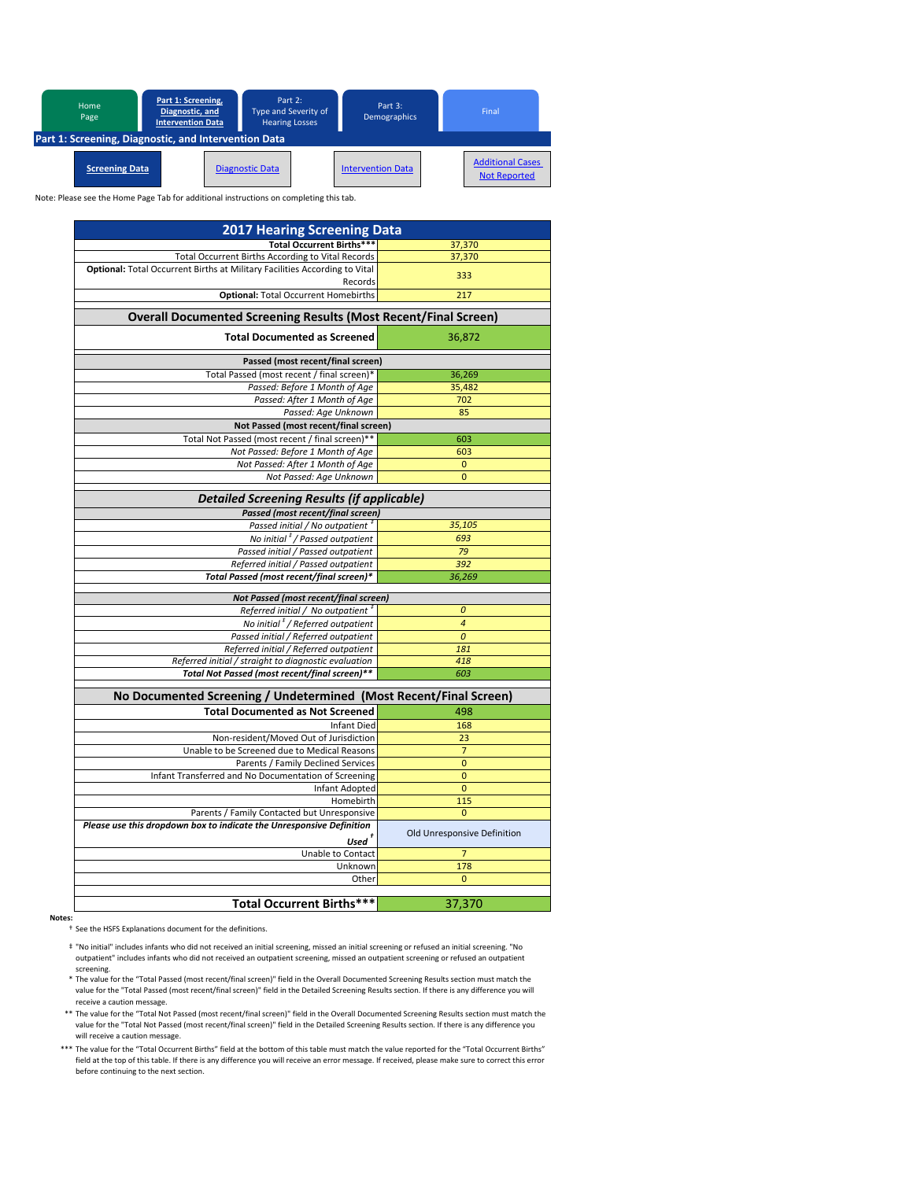

| <b>2017 Hearing Screening Data</b>                                         |                             |
|----------------------------------------------------------------------------|-----------------------------|
| <b>Total Occurrent Births***</b>                                           | 37,370                      |
| Total Occurrent Births According to Vital Records                          | 37,370                      |
| Optional: Total Occurrent Births at Military Facilities According to Vital |                             |
| Records                                                                    | 333                         |
| <b>Optional: Total Occurrent Homebirths</b>                                | 217                         |
| <b>Overall Documented Screening Results (Most Recent/Final Screen)</b>     |                             |
|                                                                            |                             |
| <b>Total Documented as Screened</b>                                        | 36,872                      |
| Passed (most recent/final screen)                                          |                             |
| Total Passed (most recent / final screen)*                                 | 36,269                      |
| Passed: Before 1 Month of Age                                              | 35,482                      |
| Passed: After 1 Month of Age                                               | 702                         |
| Passed: Age Unknown                                                        | 85                          |
| Not Passed (most recent/final screen)                                      |                             |
| Total Not Passed (most recent / final screen)**                            | 603                         |
| Not Passed: Before 1 Month of Age                                          | 603                         |
| Not Passed: After 1 Month of Age                                           | $\bf{0}$                    |
| Not Passed: Age Unknown                                                    | $\overline{0}$              |
| <b>Detailed Screening Results (if applicable)</b>                          |                             |
| Passed (most recent/final screen)                                          |                             |
| Passed initial / No outpatient <sup>#</sup>                                | 35,105                      |
| No initial <sup>#</sup> / Passed outpatient                                | 693                         |
| Passed initial / Passed outpatient                                         | 79                          |
| Referred initial / Passed outpatient                                       | 392                         |
| Total Passed (most recent/final screen)*                                   | 36,269                      |
|                                                                            |                             |
| Not Passed (most recent/final screen)                                      |                             |
| Referred initial / No outpatient <sup>#</sup>                              | 0                           |
| No initial <sup>#</sup> / Referred outpatient                              | $\overline{a}$              |
| Passed initial / Referred outpatient                                       | $\overline{0}$              |
| Referred initial / Referred outpatient                                     | 181                         |
| Referred initial / straight to diagnostic evaluation                       | 418                         |
| Total Not Passed (most recent/final screen)**                              | 603                         |
| No Documented Screening / Undetermined (Most Recent/Final Screen)          |                             |
| <b>Total Documented as Not Screened</b>                                    | 498                         |
| <b>Infant Died</b>                                                         | 168                         |
| Non-resident/Moved Out of Jurisdiction                                     | 23                          |
| Unable to be Screened due to Medical Reasons                               | $\overline{7}$              |
| Parents / Family Declined Services                                         | $\mathbf 0$                 |
| Infant Transferred and No Documentation of Screening                       | $\mathbf{0}$                |
| <b>Infant Adopted</b>                                                      | $\mathbf{0}$                |
| Homebirth                                                                  | 115                         |
| Parents / Family Contacted but Unresponsive                                | $\mathbf 0$                 |
| Please use this dropdown box to indicate the Unresponsive Definition       |                             |
| Used $\hbox{}^\dagger$                                                     | Old Unresponsive Definition |
| Unable to Contact                                                          | $\overline{7}$              |
| Unknown                                                                    | 178                         |
| Other                                                                      | $\overline{0}$              |
|                                                                            |                             |
| <b>Total Occurrent Births***</b>                                           | 37,370                      |

**Notes:**

† See the HSFS Explanations document for the definitions.

- ‡ "No initial" includes infants who did not received an initial screening, missed an initial screening or refused an initial screening. "No outpatient" includes infants who did not received an outpatient screening, missed an outpatient screening or refused an outpatient screening.
- \* The value for the "Total Passed (most recent/final screen)" field in the Overall Documented Screening Results section must match the value for the "Total Passed (most recent/final screen)" field in the Detailed Screening Results section. If there is any difference you will receive a caution message.
- \*\* The value for the "Total Not Passed (most recent/final screen)" field in the Overall Documented Screening Results section must match the value for the "Total Not Passed (most recent/final screen)" field in the Detailed Screening Results section. If there is any difference you will receive a caution message.
- \*\*\* The value for the "Total Occurrent Births" field at the bottom of this table must match the value reported for the "Total Occurrent Births" field at the top of this table. If there is any difference you will receive an error message. If received, please make sure to correct this error before continuing to the next section.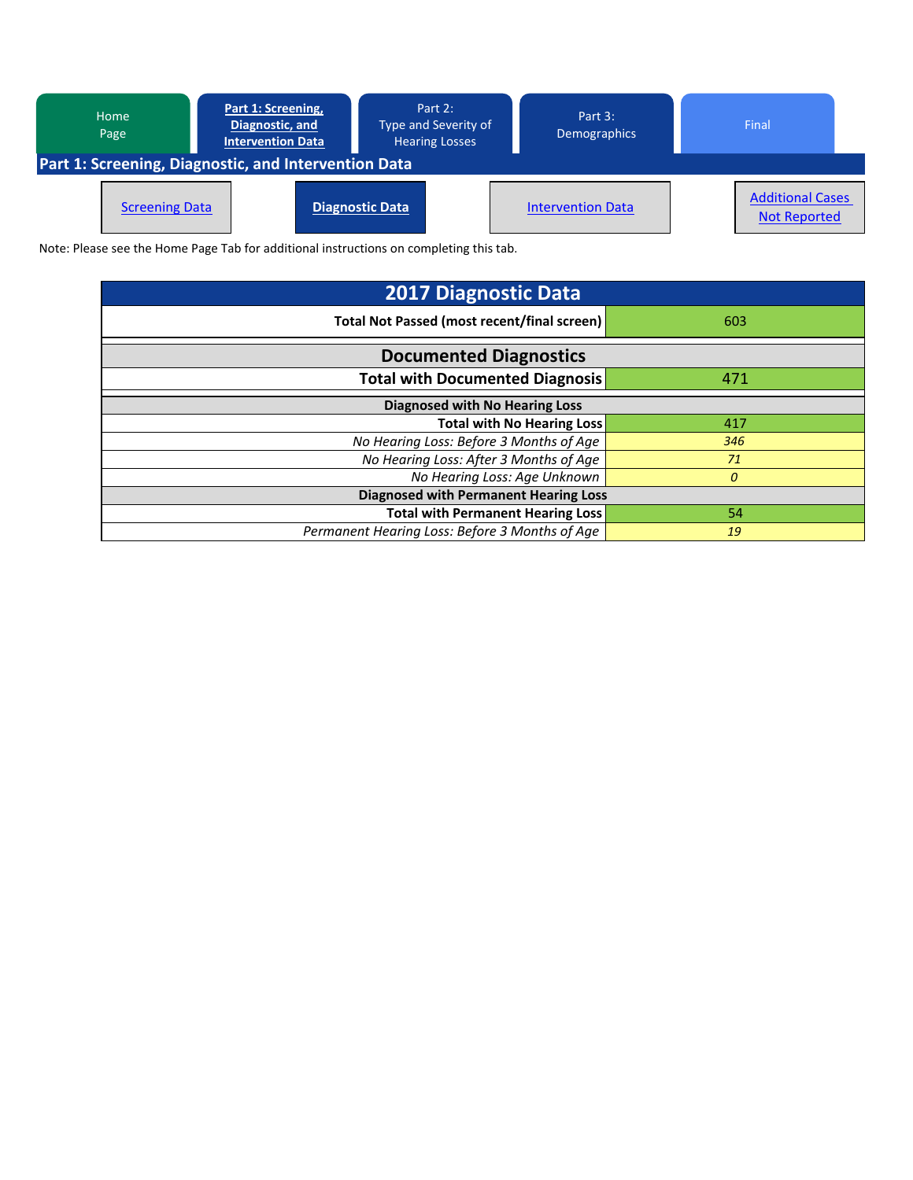

| <b>2017 Diagnostic Data</b>                    |          |  |  |  |  |  |
|------------------------------------------------|----------|--|--|--|--|--|
| Total Not Passed (most recent/final screen)    | 603      |  |  |  |  |  |
| <b>Documented Diagnostics</b>                  |          |  |  |  |  |  |
| <b>Total with Documented Diagnosis</b>         | 471      |  |  |  |  |  |
| <b>Diagnosed with No Hearing Loss</b>          |          |  |  |  |  |  |
| <b>Total with No Hearing Loss</b>              | 417      |  |  |  |  |  |
| No Hearing Loss: Before 3 Months of Age        | 346      |  |  |  |  |  |
| No Hearing Loss: After 3 Months of Age         | 71       |  |  |  |  |  |
| No Hearing Loss: Age Unknown                   | $\theta$ |  |  |  |  |  |
| <b>Diagnosed with Permanent Hearing Loss</b>   |          |  |  |  |  |  |
| <b>Total with Permanent Hearing Loss</b>       | 54       |  |  |  |  |  |
| Permanent Hearing Loss: Before 3 Months of Age | 19       |  |  |  |  |  |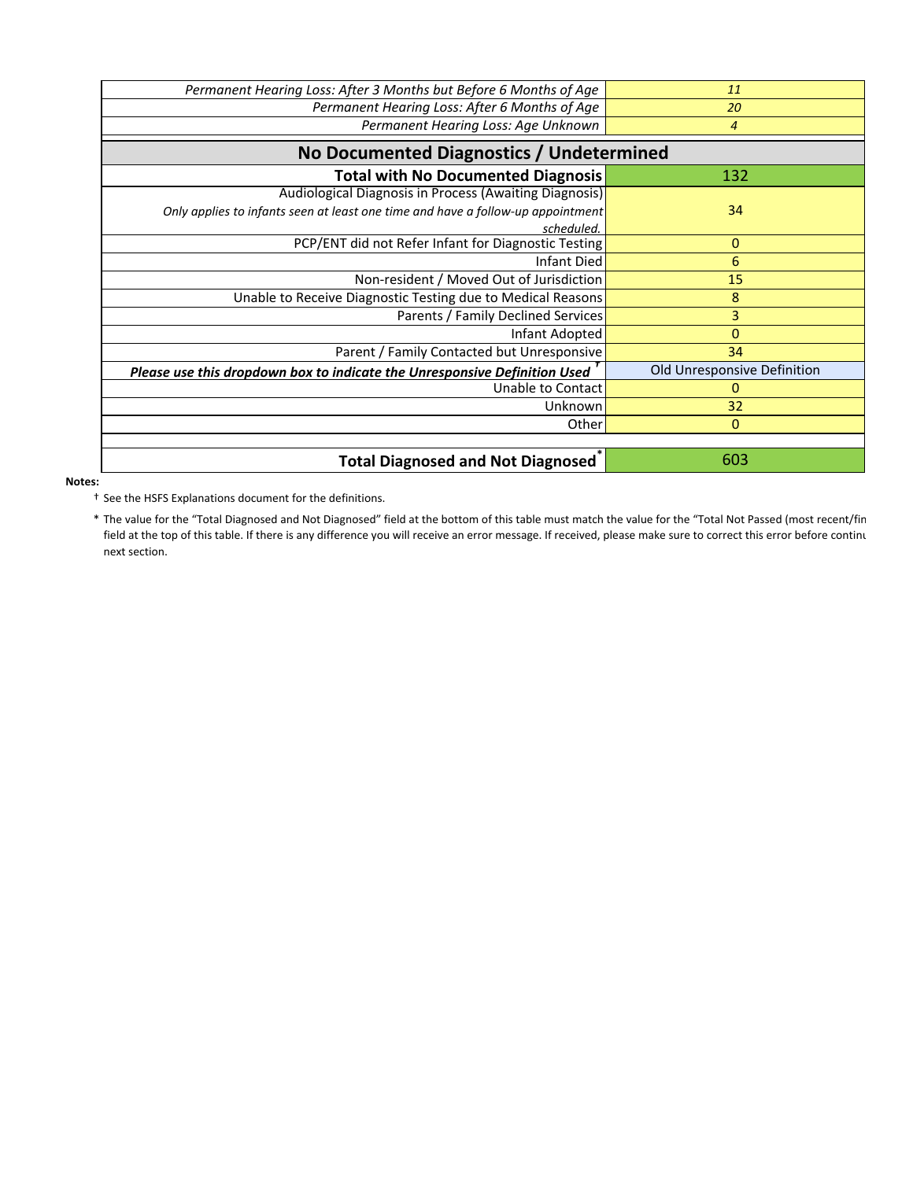| Permanent Hearing Loss: After 3 Months but Before 6 Months of Age               | 11                          |
|---------------------------------------------------------------------------------|-----------------------------|
| Permanent Hearing Loss: After 6 Months of Age                                   | 20                          |
| Permanent Hearing Loss: Age Unknown                                             | $\overline{4}$              |
| No Documented Diagnostics / Undetermined                                        |                             |
| <b>Total with No Documented Diagnosis</b>                                       | 132                         |
| Audiological Diagnosis in Process (Awaiting Diagnosis)                          |                             |
| Only applies to infants seen at least one time and have a follow-up appointment | 34                          |
| scheduled.                                                                      |                             |
| PCP/ENT did not Refer Infant for Diagnostic Testing                             | 0                           |
| <b>Infant Died</b>                                                              | 6                           |
| Non-resident / Moved Out of Jurisdiction                                        | 15                          |
| Unable to Receive Diagnostic Testing due to Medical Reasons                     | 8                           |
| Parents / Family Declined Services                                              | 3                           |
| Infant Adopted                                                                  | 0                           |
| Parent / Family Contacted but Unresponsive                                      | 34                          |
| Please use this dropdown box to indicate the Unresponsive Definition Used       | Old Unresponsive Definition |
| Unable to Contact                                                               | 0                           |
| Unknown                                                                         | 32                          |
| Other                                                                           | $\mathbf 0$                 |
|                                                                                 |                             |
| <b>Total Diagnosed and Not Diagnosed</b>                                        | 603                         |

**Notes:**

† See the HSFS Explanations document for the definitions.

\* The value for the "Total Diagnosed and Not Diagnosed" field at the bottom of this table must match the value for the "Total Not Passed (most recent/fin field at the top of this table. If there is any difference you will receive an error message. If received, please make sure to correct this error before continu next section.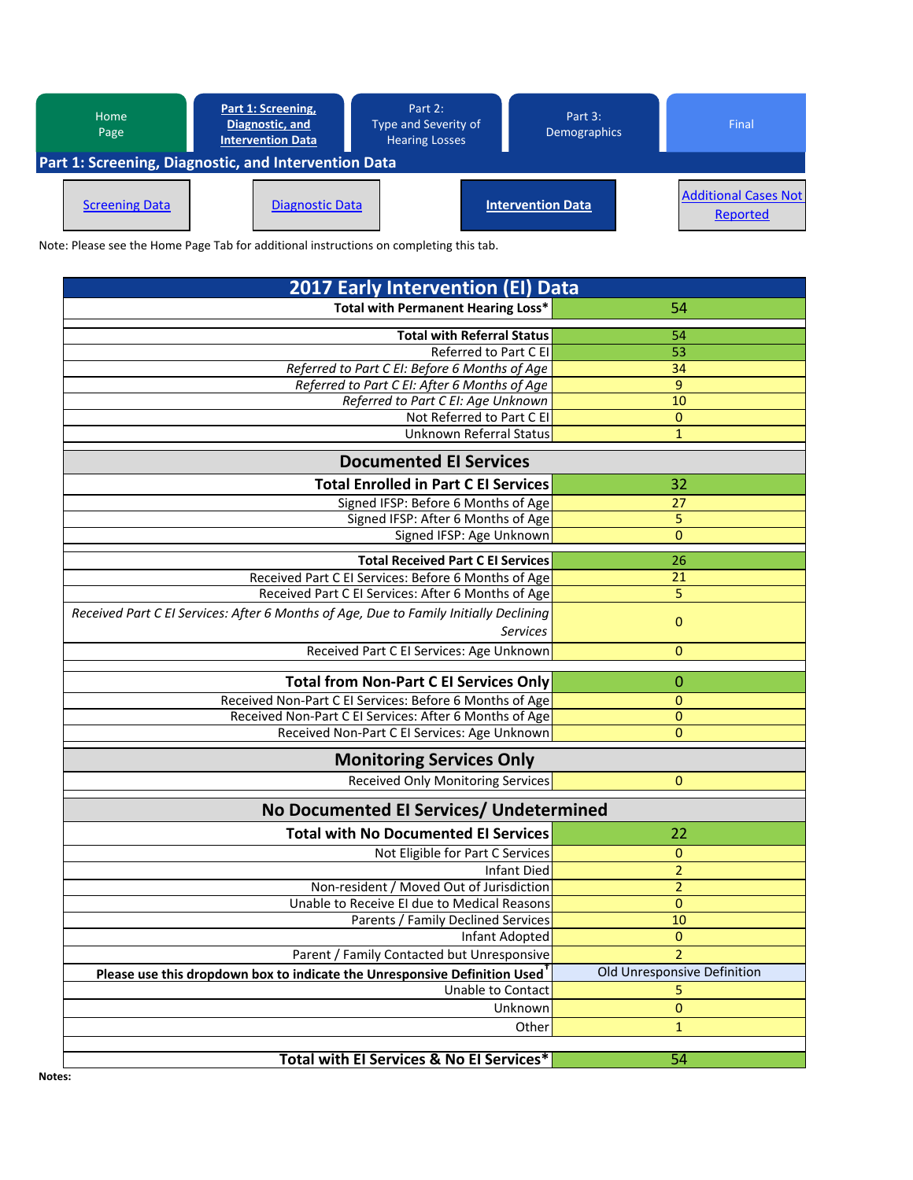| Part 1: Screening,<br><b>Home</b><br>Diagnostic, and<br>Page<br>Intervention Data |                        | Part 2:<br>Type and Severity of<br><b>Hearing Losses</b> | Part 3:<br><b>Demographics</b> |  | Final                                   |  |  |
|-----------------------------------------------------------------------------------|------------------------|----------------------------------------------------------|--------------------------------|--|-----------------------------------------|--|--|
| Part 1: Screening, Diagnostic, and Intervention Data                              |                        |                                                          |                                |  |                                         |  |  |
| <b>Screening Data</b>                                                             | <b>Diagnostic Data</b> |                                                          | <b>Intervention Data</b>       |  | <b>Additional Cases Not</b><br>Reported |  |  |

| <b>2017 Early Intervention (EI) Data</b>                                                               |                              |  |  |  |  |
|--------------------------------------------------------------------------------------------------------|------------------------------|--|--|--|--|
| <b>Total with Permanent Hearing Loss*</b>                                                              | 54                           |  |  |  |  |
| <b>Total with Referral Status</b>                                                                      | 54                           |  |  |  |  |
| Referred to Part C EI                                                                                  | 53                           |  |  |  |  |
| Referred to Part C EI: Before 6 Months of Age                                                          | 34                           |  |  |  |  |
| Referred to Part C EI: After 6 Months of Age                                                           | 9                            |  |  |  |  |
| Referred to Part C EI: Age Unknown                                                                     | 10                           |  |  |  |  |
| Not Referred to Part C EI                                                                              | 0                            |  |  |  |  |
| <b>Unknown Referral Status</b>                                                                         | $\mathbf{1}$                 |  |  |  |  |
| <b>Documented El Services</b>                                                                          |                              |  |  |  |  |
| <b>Total Enrolled in Part C El Services</b>                                                            | 32                           |  |  |  |  |
| Signed IFSP: Before 6 Months of Age                                                                    | 27                           |  |  |  |  |
| Signed IFSP: After 6 Months of Age                                                                     | 5                            |  |  |  |  |
| Signed IFSP: Age Unknown                                                                               | $\mathbf{0}$                 |  |  |  |  |
| <b>Total Received Part C El Services</b>                                                               | 26                           |  |  |  |  |
| Received Part C EI Services: Before 6 Months of Age                                                    | 21                           |  |  |  |  |
| Received Part C El Services: After 6 Months of Age                                                     | 5                            |  |  |  |  |
| Received Part C EI Services: After 6 Months of Age, Due to Family Initially Declining                  |                              |  |  |  |  |
| <b>Services</b>                                                                                        | $\pmb{0}$                    |  |  |  |  |
| Received Part C EI Services: Age Unknown                                                               | $\mathbf{0}$                 |  |  |  |  |
|                                                                                                        |                              |  |  |  |  |
| <b>Total from Non-Part C EI Services Only</b>                                                          | 0                            |  |  |  |  |
| Received Non-Part C El Services: Before 6 Months of Age                                                | 0                            |  |  |  |  |
| Received Non-Part C El Services: After 6 Months of Age<br>Received Non-Part C El Services: Age Unknown | $\mathbf{0}$<br>$\mathbf{0}$ |  |  |  |  |
|                                                                                                        |                              |  |  |  |  |
| <b>Monitoring Services Only</b>                                                                        |                              |  |  |  |  |
| <b>Received Only Monitoring Services</b>                                                               | $\mathbf{0}$                 |  |  |  |  |
| No Documented El Services/ Undetermined                                                                |                              |  |  |  |  |
| <b>Total with No Documented EI Services</b>                                                            | 22                           |  |  |  |  |
| Not Eligible for Part C Services                                                                       | 0                            |  |  |  |  |
| <b>Infant Died</b>                                                                                     | $\overline{2}$               |  |  |  |  |
| Non-resident / Moved Out of Jurisdiction                                                               | $\overline{2}$               |  |  |  |  |
| Unable to Receive El due to Medical Reasons                                                            | 0                            |  |  |  |  |
| Parents / Family Declined Services                                                                     | 10                           |  |  |  |  |
| Infant Adopted                                                                                         | $\mathbf{0}$                 |  |  |  |  |
| Parent / Family Contacted but Unresponsive                                                             | $\overline{a}$               |  |  |  |  |
| Please use this dropdown box to indicate the Unresponsive Definition Used                              | Old Unresponsive Definition  |  |  |  |  |
| Unable to Contact                                                                                      | 5                            |  |  |  |  |
| Unknown                                                                                                | $\bf{0}$                     |  |  |  |  |
| Other                                                                                                  | $\mathbf{1}$                 |  |  |  |  |
|                                                                                                        |                              |  |  |  |  |
| Total with EI Services & No EI Services*                                                               | $\overline{54}$              |  |  |  |  |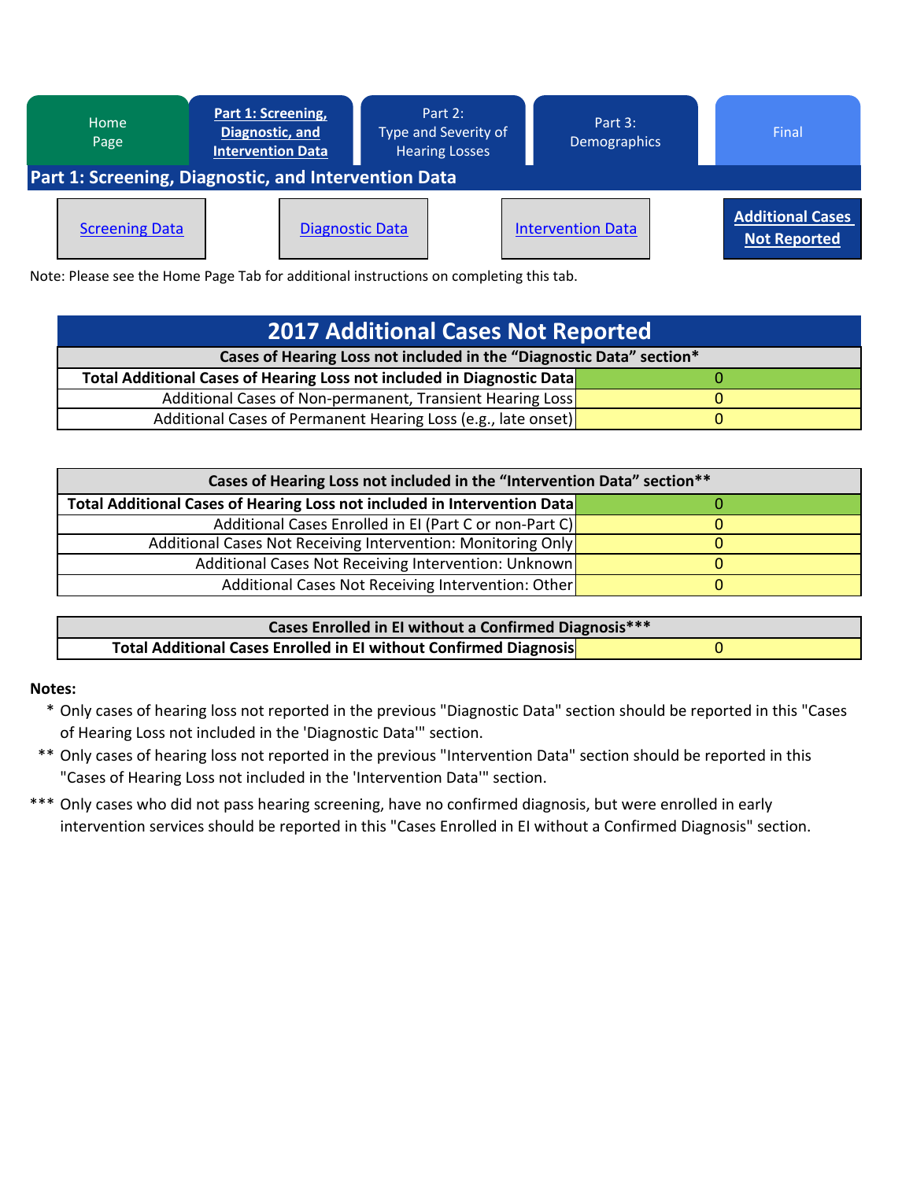

| <b>2017 Additional Cases Not Reported</b>                              |  |  |  |  |  |  |
|------------------------------------------------------------------------|--|--|--|--|--|--|
| Cases of Hearing Loss not included in the "Diagnostic Data" section*   |  |  |  |  |  |  |
| Total Additional Cases of Hearing Loss not included in Diagnostic Data |  |  |  |  |  |  |
| Additional Cases of Non-permanent, Transient Hearing Loss              |  |  |  |  |  |  |
| Additional Cases of Permanent Hearing Loss (e.g., late onset)          |  |  |  |  |  |  |

| Cases of Hearing Loss not included in the "Intervention Data" section**  |  |  |  |  |  |  |
|--------------------------------------------------------------------------|--|--|--|--|--|--|
| Total Additional Cases of Hearing Loss not included in Intervention Data |  |  |  |  |  |  |
| Additional Cases Enrolled in EI (Part C or non-Part C)                   |  |  |  |  |  |  |
| Additional Cases Not Receiving Intervention: Monitoring Only             |  |  |  |  |  |  |
| Additional Cases Not Receiving Intervention: Unknown                     |  |  |  |  |  |  |
| Additional Cases Not Receiving Intervention: Other                       |  |  |  |  |  |  |

| Cases Enrolled in El without a Confirmed Diagnosis***             |  |  |  |  |
|-------------------------------------------------------------------|--|--|--|--|
| Total Additional Cases Enrolled in El without Confirmed Diagnosis |  |  |  |  |

# **Notes:**

- \* Only cases of hearing loss not reported in the previous "Diagnostic Data" section should be reported in this "Cases of Hearing Loss not included in the 'Diagnostic Data'" section.
- \*\* Only cases of hearing loss not reported in the previous "Intervention Data" section should be reported in this "Cases of Hearing Loss not included in the 'Intervention Data'" section.
- \*\*\* Only cases who did not pass hearing screening, have no confirmed diagnosis, but were enrolled in early intervention services should be reported in this "Cases Enrolled in EI without a Confirmed Diagnosis" section.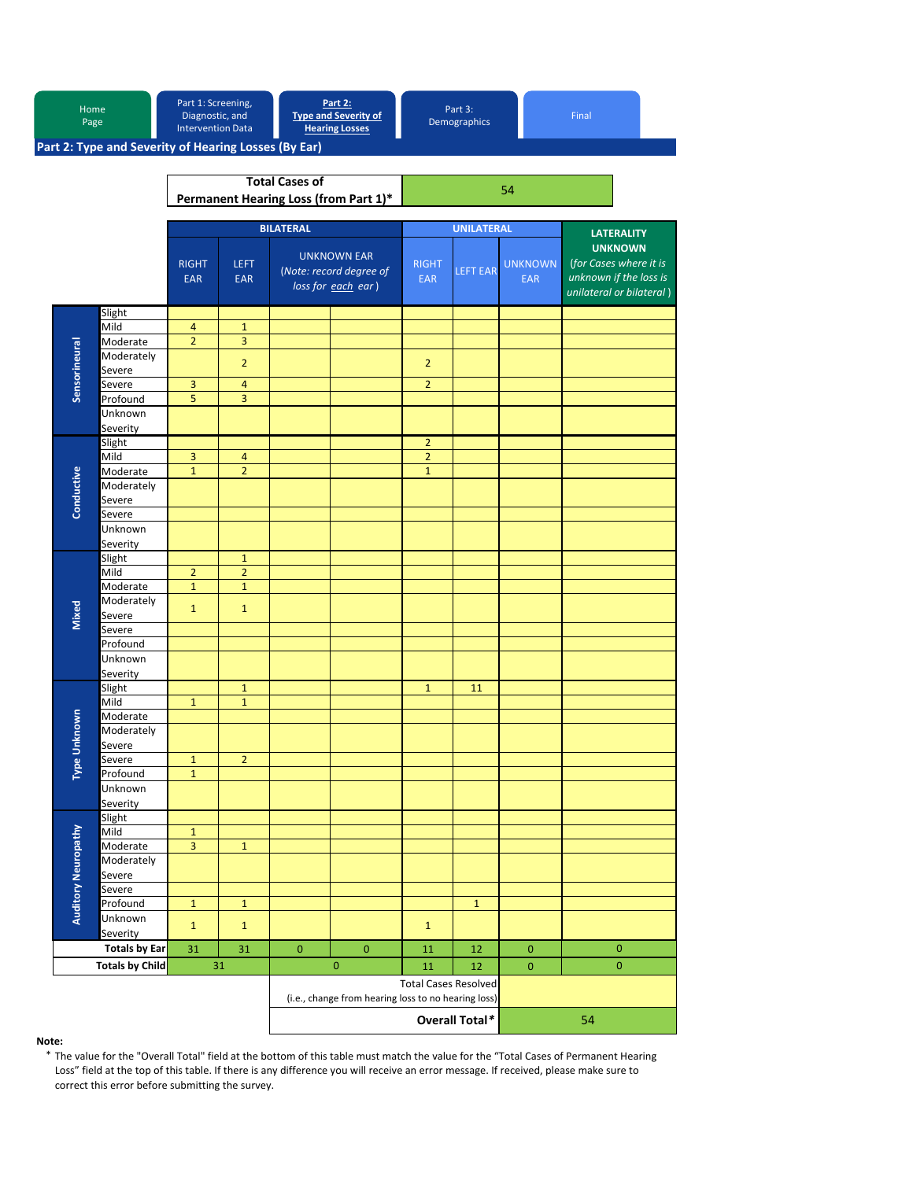|                                                      | Home<br>Page                     |                            | Part 1: Screening,<br>Diagnostic, and<br><b>Intervention Data</b> |                                                                                    | <b>Part 2:</b><br><b>Type and Severity of</b><br><b>Hearing Losses</b> |                            | Part 3:<br><b>Demographics</b> |                              | Final                                                                                          |
|------------------------------------------------------|----------------------------------|----------------------------|-------------------------------------------------------------------|------------------------------------------------------------------------------------|------------------------------------------------------------------------|----------------------------|--------------------------------|------------------------------|------------------------------------------------------------------------------------------------|
| Part 2: Type and Severity of Hearing Losses (By Ear) |                                  |                            |                                                                   |                                                                                    |                                                                        |                            |                                |                              |                                                                                                |
| Permanent Hearing Loss (from Part 1)*                |                                  |                            | <b>Total Cases of</b>                                             |                                                                                    |                                                                        |                            | 54                             |                              |                                                                                                |
|                                                      |                                  |                            | <b>BILATERAL</b>                                                  |                                                                                    |                                                                        | <b>UNILATERAL</b>          |                                | <b>LATERALITY</b>            |                                                                                                |
|                                                      |                                  | <b>RIGHT</b><br><b>EAR</b> | <b>LEFT</b><br><b>EAR</b>                                         |                                                                                    | <b>UNKNOWN EAR</b><br>(Note: record degree of<br>loss for each ear)    | <b>RIGHT</b><br><b>EAR</b> | <b>LEFT EAR</b>                | <b>UNKNOWN</b><br><b>EAR</b> | <b>UNKNOWN</b><br>(for Cases where it is<br>unknown if the loss is<br>unilateral or bilateral) |
|                                                      | Slight                           |                            |                                                                   |                                                                                    |                                                                        |                            |                                |                              |                                                                                                |
|                                                      | Mild                             | 4                          | $\mathbf 1$                                                       |                                                                                    |                                                                        |                            |                                |                              |                                                                                                |
|                                                      | Moderate<br>Moderately           | $\overline{2}$             | 3                                                                 |                                                                                    |                                                                        |                            |                                |                              |                                                                                                |
|                                                      | Severe                           |                            | $\overline{2}$                                                    |                                                                                    |                                                                        | $\overline{2}$             |                                |                              |                                                                                                |
|                                                      | Severe                           | 3                          | $\overline{4}$                                                    |                                                                                    |                                                                        | $\overline{2}$             |                                |                              |                                                                                                |
| Sensorineural                                        | Profound                         | 5                          | 3                                                                 |                                                                                    |                                                                        |                            |                                |                              |                                                                                                |
|                                                      | Unknown                          |                            |                                                                   |                                                                                    |                                                                        |                            |                                |                              |                                                                                                |
|                                                      | Severity                         |                            |                                                                   |                                                                                    |                                                                        |                            |                                |                              |                                                                                                |
|                                                      | Slight                           |                            |                                                                   |                                                                                    |                                                                        | $\overline{2}$             |                                |                              |                                                                                                |
|                                                      | Mild                             | 3                          | $\overline{4}$                                                    |                                                                                    |                                                                        | $\overline{2}$             |                                |                              |                                                                                                |
|                                                      | Moderate                         | $\overline{1}$             | $\overline{2}$                                                    |                                                                                    |                                                                        | $\mathbf{1}$               |                                |                              |                                                                                                |
| Conductive                                           | Moderately                       |                            |                                                                   |                                                                                    |                                                                        |                            |                                |                              |                                                                                                |
|                                                      | Severe                           |                            |                                                                   |                                                                                    |                                                                        |                            |                                |                              |                                                                                                |
|                                                      | Severe                           |                            |                                                                   |                                                                                    |                                                                        |                            |                                |                              |                                                                                                |
|                                                      | Unknown                          |                            |                                                                   |                                                                                    |                                                                        |                            |                                |                              |                                                                                                |
|                                                      | Severity                         |                            |                                                                   |                                                                                    |                                                                        |                            |                                |                              |                                                                                                |
|                                                      | Slight                           |                            | $\mathbf{1}$                                                      |                                                                                    |                                                                        |                            |                                |                              |                                                                                                |
|                                                      | Mild                             | $\overline{2}$             | $\overline{2}$                                                    |                                                                                    |                                                                        |                            |                                |                              |                                                                                                |
|                                                      | Moderate                         | $\mathbf{1}$               | $\mathbf{1}$                                                      |                                                                                    |                                                                        |                            |                                |                              |                                                                                                |
|                                                      | Moderately                       | $\mathbf{1}$               | $\mathbf{1}$                                                      |                                                                                    |                                                                        |                            |                                |                              |                                                                                                |
| <b>Mixed</b>                                         | Severe                           |                            |                                                                   |                                                                                    |                                                                        |                            |                                |                              |                                                                                                |
|                                                      | Severe                           |                            |                                                                   |                                                                                    |                                                                        |                            |                                |                              |                                                                                                |
|                                                      | Profound                         |                            |                                                                   |                                                                                    |                                                                        |                            |                                |                              |                                                                                                |
|                                                      | Unknown                          |                            |                                                                   |                                                                                    |                                                                        |                            |                                |                              |                                                                                                |
|                                                      | Severity                         |                            |                                                                   |                                                                                    |                                                                        |                            |                                |                              |                                                                                                |
|                                                      | Slight                           |                            | $\mathbf{1}$                                                      |                                                                                    |                                                                        | $\mathbf{1}$               | 11                             |                              |                                                                                                |
|                                                      | Mild                             | $\mathbf{1}$               | $\mathbf 1$                                                       |                                                                                    |                                                                        |                            |                                |                              |                                                                                                |
|                                                      | Moderate                         |                            |                                                                   |                                                                                    |                                                                        |                            |                                |                              |                                                                                                |
|                                                      | Moderately                       |                            |                                                                   |                                                                                    |                                                                        |                            |                                |                              |                                                                                                |
|                                                      | Severe                           |                            |                                                                   |                                                                                    |                                                                        |                            |                                |                              |                                                                                                |
| Type Unknown                                         | Severe                           | $\mathbf 1$                | $\overline{2}$                                                    |                                                                                    |                                                                        |                            |                                |                              |                                                                                                |
|                                                      | Profound                         | $\mathbf{1}$               |                                                                   |                                                                                    |                                                                        |                            |                                |                              |                                                                                                |
|                                                      | Unknown                          |                            |                                                                   |                                                                                    |                                                                        |                            |                                |                              |                                                                                                |
|                                                      | Severity                         |                            |                                                                   |                                                                                    |                                                                        |                            |                                |                              |                                                                                                |
|                                                      | Slight<br>Mild                   |                            |                                                                   |                                                                                    |                                                                        |                            |                                |                              |                                                                                                |
|                                                      |                                  | $\mathbf{1}$               |                                                                   |                                                                                    |                                                                        |                            |                                |                              |                                                                                                |
| Auditory Neuropathy                                  | Moderate<br>Moderately           | 3                          | $\mathbf{1}$                                                      |                                                                                    |                                                                        |                            |                                |                              |                                                                                                |
|                                                      | Severe                           |                            |                                                                   |                                                                                    |                                                                        |                            |                                |                              |                                                                                                |
|                                                      | Severe                           |                            |                                                                   |                                                                                    |                                                                        |                            |                                |                              |                                                                                                |
|                                                      | Profound                         | $\mathbf{1}$               | $1\,$                                                             |                                                                                    |                                                                        |                            | $\mathbf{1}$                   |                              |                                                                                                |
|                                                      | Unknown                          |                            |                                                                   |                                                                                    |                                                                        |                            |                                |                              |                                                                                                |
|                                                      |                                  | $\mathbf{1}$               | $\mathbf 1$                                                       |                                                                                    |                                                                        | $\mathbf{1}$               |                                |                              |                                                                                                |
|                                                      | Severity<br><b>Totals by Ear</b> |                            | 31                                                                | $\pmb{0}$                                                                          | $\pmb{0}$                                                              | 11                         | 12                             | $\pmb{0}$                    | $\pmb{0}$                                                                                      |
|                                                      | <b>Totals by Child</b>           | 31                         | 31                                                                |                                                                                    | $\mathbf{0}$                                                           | 11                         | 12                             | $\mathbf{0}$                 | $\mathbf{0}$                                                                                   |
|                                                      |                                  |                            |                                                                   |                                                                                    |                                                                        |                            |                                |                              |                                                                                                |
|                                                      |                                  |                            |                                                                   | <b>Total Cases Resolved</b><br>(i.e., change from hearing loss to no hearing loss) |                                                                        |                            |                                |                              |                                                                                                |
|                                                      |                                  |                            |                                                                   | Overall Total*                                                                     |                                                                        |                            |                                | 54                           |                                                                                                |

### **Note:**

\* The value for the "Overall Total" field at the bottom of this table must match the value for the "Total Cases of Permanent Hearing Loss" field at the top of this table. If there is any difference you will receive an error message. If received, please make sure to correct this error before submitting the survey.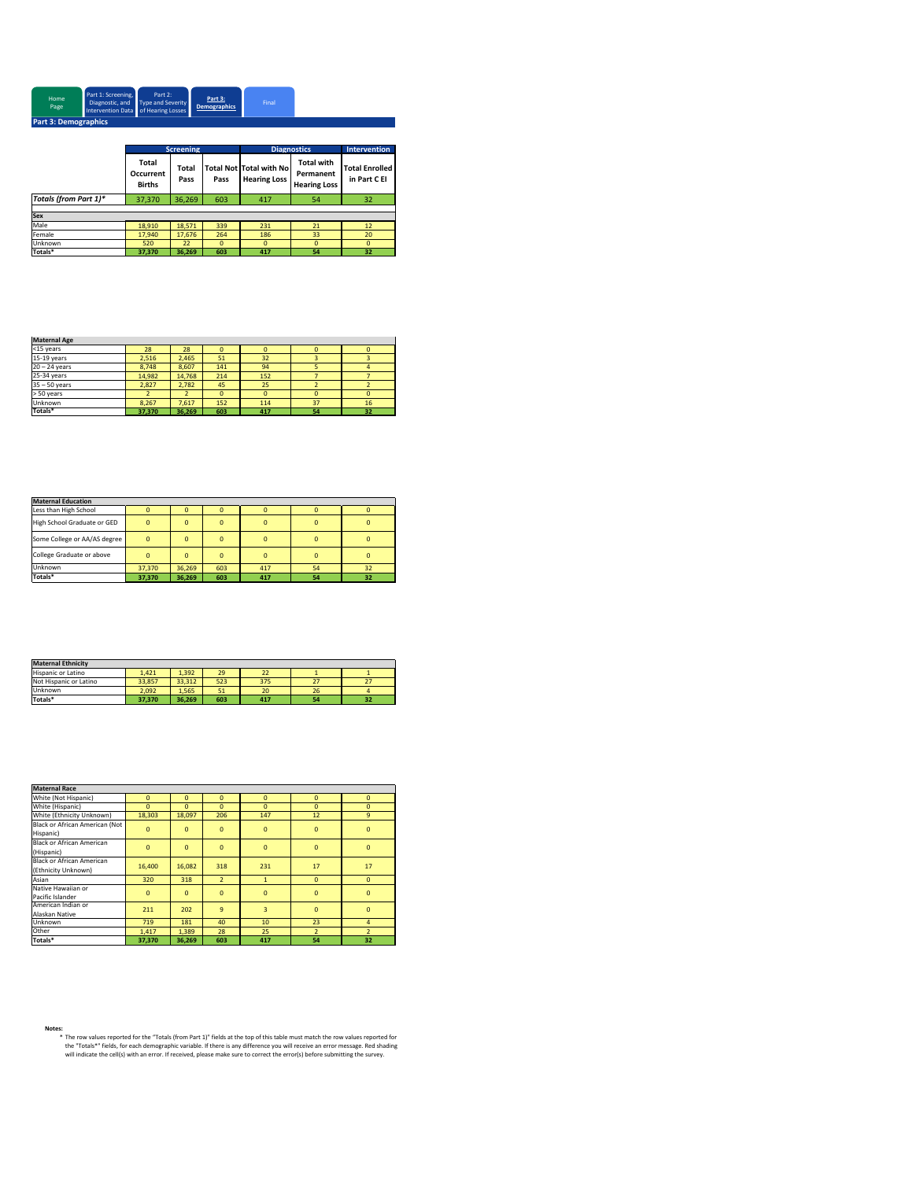| Home<br>Page                | Part 1: Screening,<br>Intervention Data of Hearing Losses | Part 2:<br>Diagnostic, and Type and Severity | Part 3:<br><b>Demographics</b> | Final |  |  |  |
|-----------------------------|-----------------------------------------------------------|----------------------------------------------|--------------------------------|-------|--|--|--|
| <b>Part 3: Demographics</b> |                                                           |                                              |                                |       |  |  |  |

|                       | <b>Screening</b>                    |               |          | <b>Diagnostics</b>                                    | <b>Intervention</b>                                   |                                       |  |
|-----------------------|-------------------------------------|---------------|----------|-------------------------------------------------------|-------------------------------------------------------|---------------------------------------|--|
|                       | Total<br>Occurrent<br><b>Births</b> | Total<br>Pass | Pass     | <b>Total Not Total with No</b><br><b>Hearing Loss</b> | <b>Total with</b><br>Permanent<br><b>Hearing Loss</b> | <b>Total Enrolled</b><br>in Part C EI |  |
| Totals (from Part 1)* | 37,370                              | 36,269        | 603      | 417                                                   | 54                                                    | 32                                    |  |
|                       |                                     |               |          |                                                       |                                                       |                                       |  |
| <b>Sex</b>            |                                     |               |          |                                                       |                                                       |                                       |  |
| Male                  | 18.910                              | 18.571        | 339      | 231                                                   | 21                                                    | 12                                    |  |
| Female                | 17,940                              | 17.676        | 264      | 186                                                   | 33                                                    | 20                                    |  |
| Unknown               | 520                                 | 22            | $\Omega$ | $\mathbf 0$                                           | $\Omega$                                              | $\mathbf 0$                           |  |
| Totals*               | 37,370                              | 36.269        | 603      | 417                                                   | 54                                                    | 32                                    |  |

| <b>Maternal Age</b> |        |        |          |          |          |    |
|---------------------|--------|--------|----------|----------|----------|----|
| <15 years           | 28     | 28     |          | $\Omega$ |          | ŋ  |
| 15-19 years         | 2.516  | 2.465  | 51       | 32       |          |    |
| $20 - 24$ years     | 8.748  | 8,607  | 141      | 94       | 5        |    |
| 25-34 years         | 14.982 | 14.768 | 214      | 152      |          |    |
| $35 - 50$ years     | 2.827  | 2.782  | 45       | 25       |          |    |
| > 50 years          |        |        | $\Omega$ | $\Omega$ | $\Omega$ | ŋ  |
| Unknown             | 8.267  | 7,617  | 152      | 114      | 37       | 16 |
| Totals*             | 37,370 | 36,269 | 603      | 417      | 54       | 32 |

| <b>Maternal Education</b>    |                |          |     |          |    |    |
|------------------------------|----------------|----------|-----|----------|----|----|
| Less than High School        |                |          |     |          |    |    |
| High School Graduate or GED  | $\Omega$       | $\Omega$ |     | $\Omega$ |    |    |
| Some College or AA/AS degree | $\overline{0}$ | $\Omega$ |     | $\Omega$ |    |    |
| College Graduate or above    | $\Omega$       | $\Omega$ |     | $\Omega$ |    |    |
| Unknown                      | 37.370         | 36.269   | 603 | 417      | 54 | 32 |
| Totals*                      | 37,370         | 36.269   | 603 | 417      | 54 | 32 |

| <b>Maternal Ethnicity</b> |        |        |     |     |    |    |
|---------------------------|--------|--------|-----|-----|----|----|
| Hispanic or Latino        | 1.421  | 1.392  | 29  | 22  |    |    |
| Not Hispanic or Latino    | 33.857 | 33.312 | 523 | 375 | 27 |    |
| Unknown                   | 2.092  | 1.565  | 51  | 20  | 26 |    |
| Totals*                   | 37.370 | 36.269 | 603 | 417 | 54 | 32 |

| <b>Maternal Race</b>             |                |              |                |                |                |                |
|----------------------------------|----------------|--------------|----------------|----------------|----------------|----------------|
| White (Not Hispanic)             | $\mathbf{0}$   | $\mathbf{0}$ | $\mathbf{0}$   | $\overline{0}$ | $\mathbf{0}$   | $\mathbf{0}$   |
| White (Hispanic)                 | $\Omega$       | $\Omega$     | $\Omega$       | $\Omega$       | $\Omega$       | $\Omega$       |
| White (Ethnicity Unknown)        | 18,303         | 18.097       | 206            | 147            | 12             | $\overline{9}$ |
| Black or African American (Not   |                |              |                |                |                |                |
| Hispanic)                        | $\bf{0}$       | $\mathbf{0}$ | $\mathbf{0}$   | $\overline{0}$ | $\mathbf{0}$   | $\mathbf{0}$   |
| <b>Black or African American</b> |                |              |                |                |                |                |
| (Hispanic)                       | $\overline{0}$ | $\mathbf{0}$ | $\mathbf{0}$   | $\overline{0}$ | $\mathbf{0}$   | $\mathbf{0}$   |
| <b>Black or African American</b> |                |              |                |                |                | 17             |
| (Ethnicity Unknown)              | 16,400         | 16.082       | 318            | 231            | 17             |                |
| Asian                            | 320            | 318          | $\overline{2}$ | $\mathbf{1}$   | $\mathbf{0}$   | $\mathbf{0}$   |
| Native Hawaiian or               | $\mathbf{0}$   | $\mathbf{0}$ | $\mathbf{0}$   | $\overline{0}$ | $\overline{0}$ | $\mathbf{0}$   |
| Pacific Islander                 |                |              |                |                |                |                |
| American Indian or               | 211            | 202          | $\mathbf{q}$   | 3              | $\Omega$       | $\Omega$       |
| Alaskan Native                   |                |              |                |                |                |                |
| Unknown                          | 719            | 181          | 40             | 10             | 23             | 4              |
| Other                            | 1,417          | 1,389        | 28             | 25             | $\overline{z}$ | $\overline{z}$ |
| Totals*                          | 37,370         | 36.269       | 603            | 417            | 54             | 32             |

%<br>\* The row values reported for the "Totals (from Part 1)" fields at the top of this table must match the row values reported for<br>the "Totals\*" fields, for each demographic variable. If there is any difference you will rec